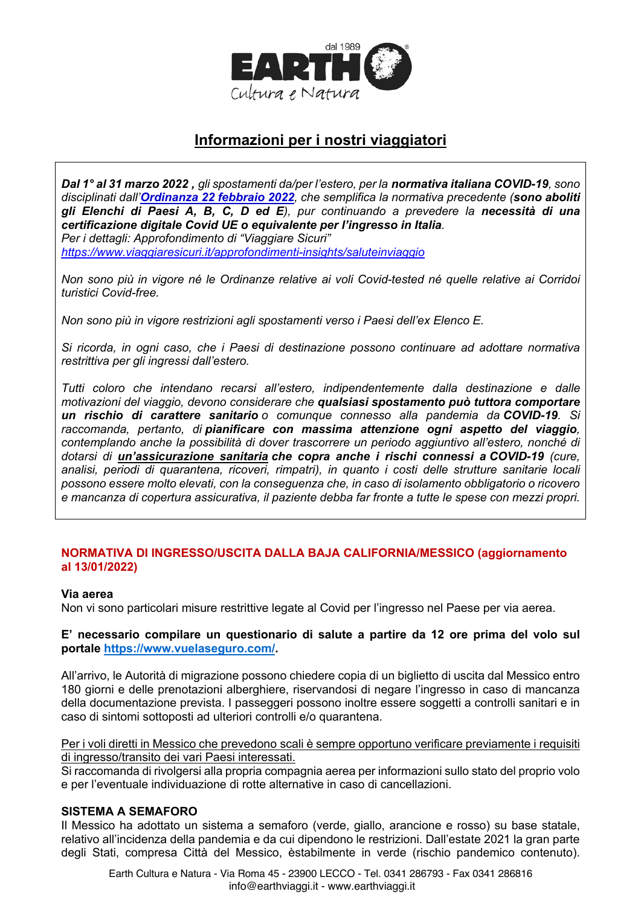

# Informazioni per i nostri viaggiatori

Dal 1° al 31 marzo 2022, gli spostamenti da/per l'estero, per la normativa italiana COVID-19, sono disciplinati dall'Ordinanza 22 febbraio 2022, che semplifica la normativa precedente (sono aboliti gli Elenchi di Paesi A, B, C, D ed E), pur continuando a prevedere la necessità di una certificazione digitale Covid UE o equivalente per l'ingresso in Italia. Per i dettagli: Approfondimento di "Viaggiare Sicuri"

https://www.viaggiaresicuri.it/approfondimenti-insights/saluteinviaggio

Non sono più in vigore né le Ordinanze relative ai voli Covid-tested né quelle relative ai Corridoi turistici Covid-free.

Non sono più in vigore restrizioni agli spostamenti verso i Paesi dell'ex Elenco E.

Si ricorda, in ogni caso, che i Paesi di destinazione possono continuare ad adottare normativa restrittiva per gli ingressi dall'estero.

Tutti coloro che intendano recarsi all'estero, indipendentemente dalla destinazione e dalle motivazioni del viaggio, devono considerare che qualsiasi spostamento può tuttora comportare un rischio di carattere sanitario o comunque connesso alla pandemia da COVID-19. Si raccomanda, pertanto, di pianificare con massima attenzione ogni aspetto del viaggio. contemplando anche la possibilità di dover trascorrere un periodo aggiuntivo all'estero, nonché di dotarsi di un'assicurazione sanitaria che copra anche i rischi connessi a COVID-19 (cure, analisi, periodi di quarantena, ricoveri, rimpatri), in quanto i costi delle strutture sanitarie locali possono essere molto elevati, con la consequenza che, in caso di isolamento obbligatorio o ricovero e mancanza di copertura assicurativa, il paziente debba far fronte a tutte le spese con mezzi propri.

# NORMATIVA DI INGRESSO/USCITA DALLA BAJA CALIFORNIA/MESSICO (aggiornamento al 13/01/2022)

### Via aerea

Non vi sono particolari misure restrittive legate al Covid per l'ingresso nel Paese per via aerea.

E' necessario compilare un questionario di salute a partire da 12 ore prima del volo sul portale https://www.vuelasequro.com/.

All'arrivo, le Autorità di migrazione possono chiedere copia di un biglietto di uscita dal Messico entro 180 giorni e delle prenotazioni alberghiere, riservandosi di negare l'ingresso in caso di mancanza della documentazione prevista. I passeggeri possono inoltre essere soggetti a controlli sanitari e in caso di sintomi sottoposti ad ulteriori controlli e/o quarantena.

Per i voli diretti in Messico che prevedono scali è sempre opportuno verificare previamente i requisiti di ingresso/transito dei vari Paesi interessati.

Si raccomanda di rivolgersi alla propria compagnia aerea per informazioni sullo stato del proprio volo e per l'eventuale individuazione di rotte alternative in caso di cancellazioni.

### **SISTEMA A SEMAFORO**

Il Messico ha adottato un sistema a semaforo (verde, giallo, arancione e rosso) su base statale, relativo all'incidenza della pandemia e da cui dipendono le restrizioni. Dall'estate 2021 la gran parte degli Stati, compresa Città del Messico, èstabilmente in verde (rischio pandemico contenuto).